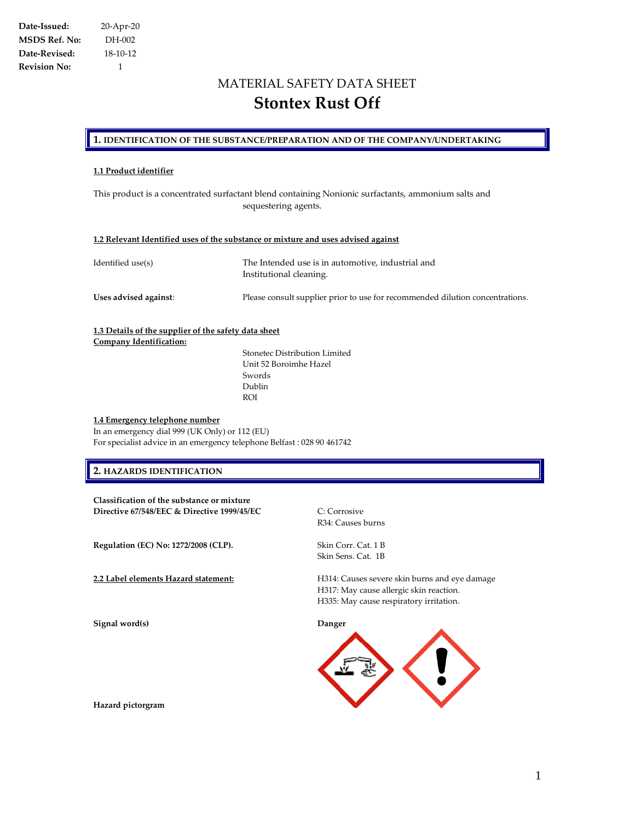# MATERIAL SAFETY DATA SHEET **Stontex Rust Off**

### **1. IDENTIFICATION OF THE SUBSTANCE/PREPARATION AND OF THE COMPANY/UNDERTAKING**

### **1.1 Product identifier**

This product is a concentrated surfactant blend containing Nonionic surfactants, ammonium salts and sequestering agents.

### **1.2 Relevant Identified uses of the substance or mixture and uses advised against**

| Identified use(s)     | The Intended use is in automotive, industrial and<br>Institutional cleaning.  |  |
|-----------------------|-------------------------------------------------------------------------------|--|
| Uses advised against: | Please consult supplier prior to use for recommended dilution concentrations. |  |

### **1.3 Details of the supplier of the safety data sheet Company Identification:**

Stonetec Distribution Limited Unit 52 Boroimhe Hazel Swords Dublin ROI

### **1.4 Emergency telephone number**

In an emergency dial 999 (UK Only) or 112 (EU) For specialist advice in an emergency telephone Belfast : 028 90 461742

### **2. HAZARDS IDENTIFICATION**

**Classification of the substance or mixture Directive 67/548/EEC & Directive 1999/45/EC** C: Corrosive

**Regulation (EC) No: 1272/2008 (CLP).** Skin Corr. Cat. 1 B

**Signal word(s) Danger**

R34: Causes burns

Skin Sens. Cat. 1B

**2.2 Label elements Hazard statement:** H314: Causes severe skin burns and eye damage H317: May cause allergic skin reaction. H335: May cause respiratory irritation.



**Hazard pictorgram**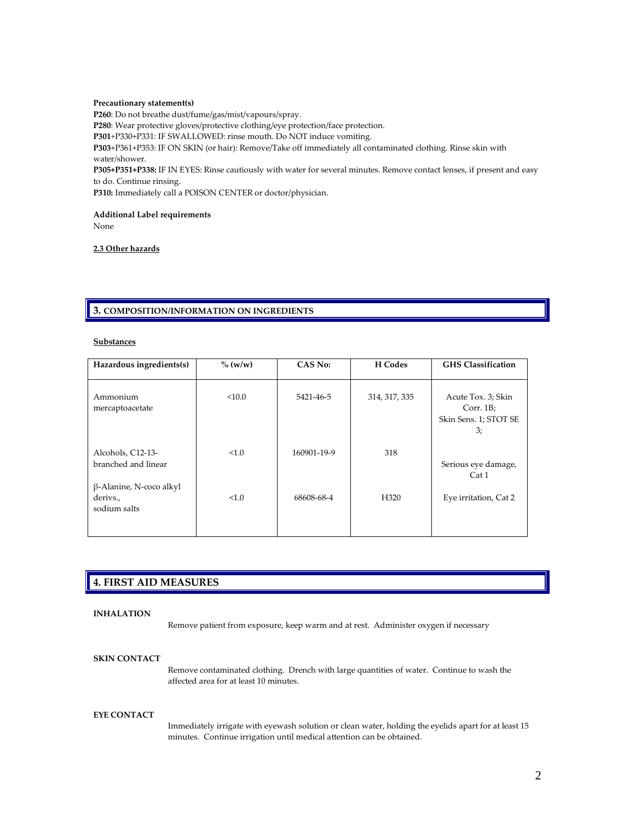### **Precautionary statement(s)**

**P260**: Do not breathe dust/fume/gas/mist/vapours/spray. **P280**: Wear protective gloves/protective clothing/eye protection/face protection. **P301**+P330+P331: IF SWALLOWED: rinse mouth. Do NOT induce vomiting. **P303**+P361+P353: IF ON SKIN (or hair): Remove/Take off immediately all contaminated clothing. Rinse skin with water/shower. **P305+P351+P338:** IF IN EYES: Rinse cautiously with water for several minutes. Remove contact lenses, if present and easy to do. Continue rinsing.

**P310:** Immediately call a POISON CENTER or doctor/physician.

#### **Additional Label requirements**

None

### **2.3 Other hazards**

### **3. COMPOSITION/INFORMATION ON INGREDIENTS**

### **Substances**

| Hazardous ingredients(s)                            | $\%$ (w/w) | CAS No:     | H Codes          | <b>GHS</b> Classification                                     |
|-----------------------------------------------------|------------|-------------|------------------|---------------------------------------------------------------|
| Ammonium<br>mercaptoacetate                         | < 10.0     | 5421-46-5   | 314, 317, 335    | Acute Tox. 3; Skin<br>Corr. 1B<br>Skin Sens. 1; STOT SE<br>3; |
| Alcohols, C12-13-<br>branched and linear            | <1.0       | 160901-19-9 | 318              | Serious eye damage,<br>Cat 1                                  |
| β-Alanine, N-coco alkyl<br>derivs.,<br>sodium salts | <1.0       | 68608-68-4  | H <sub>320</sub> | Eye irritation, Cat 2                                         |

### **4. FIRST AID MEASURES**

### **INHALATION**

Remove patient from exposure, keep warm and at rest. Administer oxygen if necessary

#### **SKIN CONTACT**

Remove contaminated clothing. Drench with large quantities of water. Continue to wash the affected area for at least 10 minutes.

#### **EYE CONTACT**

Immediately irrigate with eyewash solution or clean water, holding the eyelids apart for at least 15 minutes. Continue irrigation until medical attention can be obtained.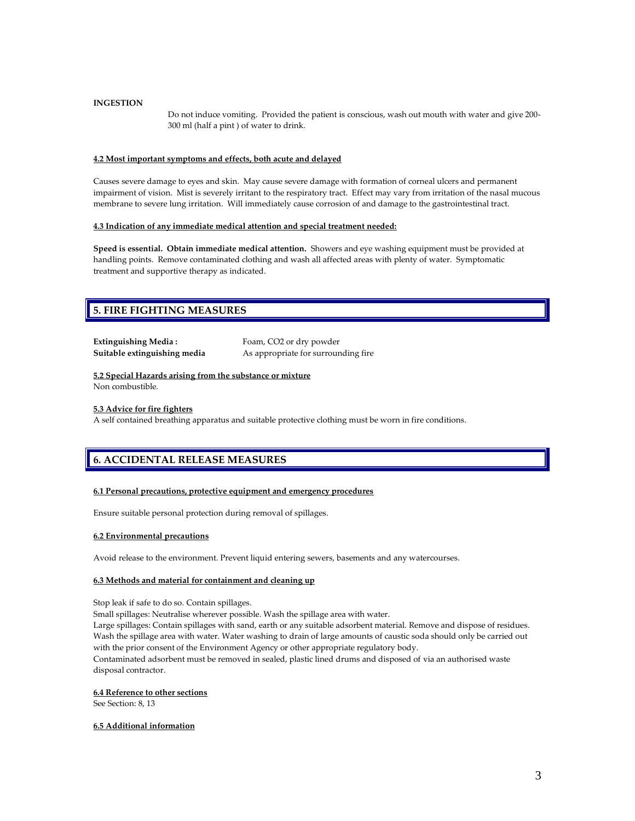### **INGESTION**

Do not induce vomiting. Provided the patient is conscious, wash out mouth with water and give 200- 300 ml (half a pint ) of water to drink.

### **4.2 Most important symptoms and effects, both acute and delayed**

Causes severe damage to eyes and skin. May cause severe damage with formation of corneal ulcers and permanent impairment of vision. Mist is severely irritant to the respiratory tract. Effect may vary from irritation of the nasal mucous membrane to severe lung irritation. Will immediately cause corrosion of and damage to the gastrointestinal tract.

### **4.3 Indication of any immediate medical attention and special treatment needed:**

**Speed is essential. Obtain immediate medical attention.** Showers and eye washing equipment must be provided at handling points. Remove contaminated clothing and wash all affected areas with plenty of water. Symptomatic treatment and supportive therapy as indicated.

### **5. FIRE FIGHTING MEASURES**

| <b>Extinguishing Media:</b>  | Foam, CO2 or dry powder              |
|------------------------------|--------------------------------------|
| Suitable extinguishing media | As appropriate for surrounding fire. |

### **5.2 Special Hazards arising from the substance or mixture**

Non combustible.

### **5.3 Advice for fire fighters**

A self contained breathing apparatus and suitable protective clothing must be worn in fire conditions.

# **6. ACCIDENTAL RELEASE MEASURES**

### **6.1 Personal precautions, protective equipment and emergency procedures**

Ensure suitable personal protection during removal of spillages.

#### **6.2 Environmental precautions**

Avoid release to the environment. Prevent liquid entering sewers, basements and any watercourses.

### **6.3 Methods and material for containment and cleaning up**

Stop leak if safe to do so. Contain spillages.

Small spillages: Neutralise wherever possible. Wash the spillage area with water.

Large spillages: Contain spillages with sand, earth or any suitable adsorbent material. Remove and dispose of residues. Wash the spillage area with water. Water washing to drain of large amounts of caustic soda should only be carried out with the prior consent of the Environment Agency or other appropriate regulatory body. Contaminated adsorbent must be removed in sealed, plastic lined drums and disposed of via an authorised waste disposal contractor.

#### **6.4 Reference to other sections**

See Section: 8, 13

### **6.5 Additional information**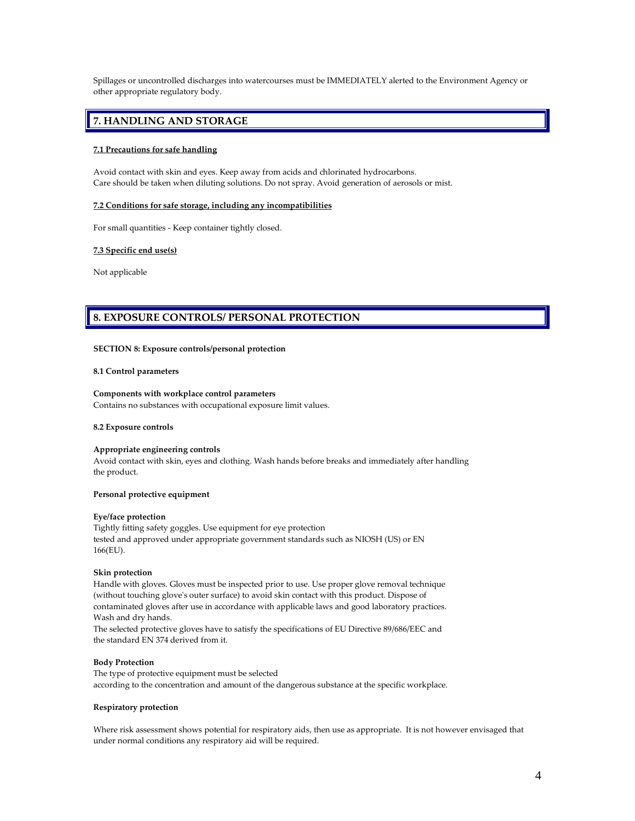Spillages or uncontrolled discharges into watercourses must be IMMEDIATELY alerted to the Environment Agency or other appropriate regulatory body.

### **7. HANDLING AND STORAGE**

### **7.1 Precautions for safe handling**

Avoid contact with skin and eyes. Keep away from acids and chlorinated hydrocarbons. Care should be taken when diluting solutions. Do not spray. Avoid generation of aerosols or mist.

### **7.2 Conditions for safe storage, including any incompatibilities**

For small quantities - Keep container tightly closed.

### **7.3 Specific end use(s)**

Not applicable

### **8. EXPOSURE CONTROLS/ PERSONAL PROTECTION**

#### **SECTION 8: Exposure controls/personal protection**

### **8.1 Control parameters**

### **Components with workplace control parameters**

Contains no substances with occupational exposure limit values.

#### **8.2 Exposure controls**

### **Appropriate engineering controls**

Avoid contact with skin, eyes and clothing. Wash hands before breaks and immediately after handling the product.

#### **Personal protective equipment**

#### **Eye/face protection**

Tightly fitting safety goggles. Use equipment for eye protection tested and approved under appropriate government standards such as NIOSH (US) or EN 166(EU).

#### **Skin protection**

Handle with gloves. Gloves must be inspected prior to use. Use proper glove removal technique (without touching glove's outer surface) to avoid skin contact with this product. Dispose of contaminated gloves after use in accordance with applicable laws and good laboratory practices. Wash and dry hands.

The selected protective gloves have to satisfy the specifications of EU Directive 89/686/EEC and the standard EN 374 derived from it.

### **Body Protection**

The type of protective equipment must be selected according to the concentration and amount of the dangerous substance at the specific workplace.

### **Respiratory protection**

Where risk assessment shows potential for respiratory aids, then use as appropriate. It is not however envisaged that under normal conditions any respiratory aid will be required.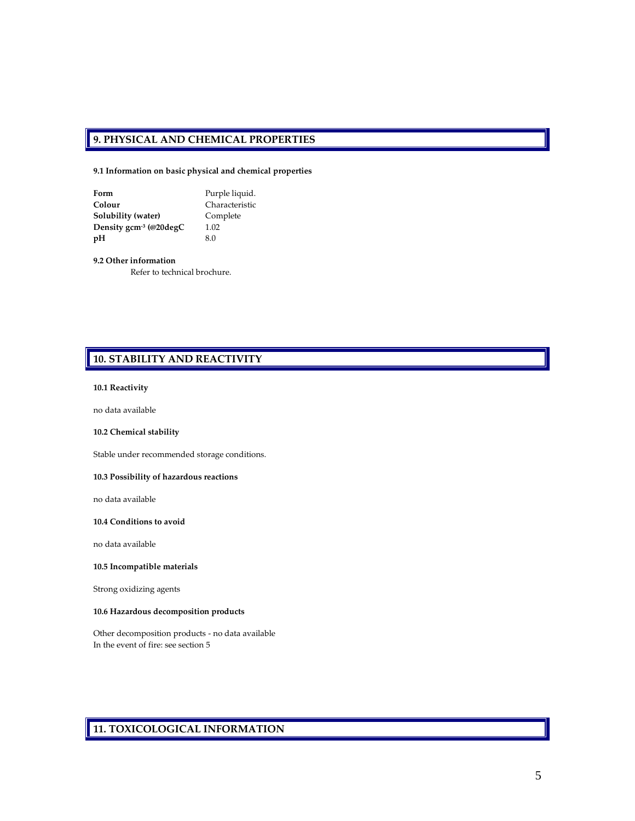### **9. PHYSICAL AND CHEMICAL PROPERTIES**

**9.1 Information on basic physical and chemical properties**

| Form                                | Purple liquid. |
|-------------------------------------|----------------|
| Colour                              | Characteristic |
| Solubility (water)                  | Complete       |
| Density gcm <sup>-3</sup> (@20degC) | 1.02           |
| pH                                  | 8.0            |

**9.2 Other information**

Refer to technical brochure.

## **10. STABILITY AND REACTIVITY**

### **10.1 Reactivity**

no data available

### **10.2 Chemical stability**

Stable under recommended storage conditions.

### **10.3 Possibility of hazardous reactions**

no data available

### **10.4 Conditions to avoid**

no data available

### **10.5 Incompatible materials**

Strong oxidizing agents

### **10.6 Hazardous decomposition products**

Other decomposition products - no data available In the event of fire: see section 5

# **11. TOXICOLOGICAL INFORMATION**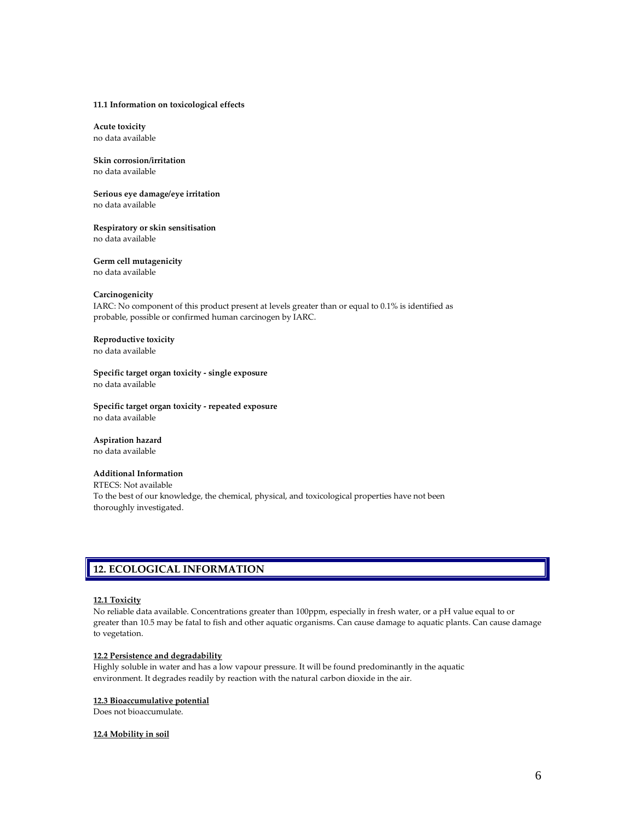### **11.1 Information on toxicological effects**

**Acute toxicity** no data available

### **Skin corrosion/irritation** no data available

**Serious eye damage/eye irritation**

no data available

**Respiratory or skin sensitisation** no data available

# **Germ cell mutagenicity**

no data available

### **Carcinogenicity**

IARC: No component of this product present at levels greater than or equal to 0.1% is identified as probable, possible or confirmed human carcinogen by IARC.

### **Reproductive toxicity**

no data available

**Specific target organ toxicity - single exposure** no data available

**Specific target organ toxicity - repeated exposure** no data available

#### **Aspiration hazard** no data available

### **Additional Information**

RTECS: Not available To the best of our knowledge, the chemical, physical, and toxicological properties have not been thoroughly investigated.

### **12. ECOLOGICAL INFORMATION**

### **12.1 Toxicity**

No reliable data available. Concentrations greater than 100ppm, especially in fresh water, or a pH value equal to or greater than 10.5 may be fatal to fish and other aquatic organisms. Can cause damage to aquatic plants. Can cause damage to vegetation.

### **12.2 Persistence and degradability**

Highly soluble in water and has a low vapour pressure. It will be found predominantly in the aquatic environment. It degrades readily by reaction with the natural carbon dioxide in the air.

### **12.3 Bioaccumulative potential**

Does not bioaccumulate.

### **12.4 Mobility in soil**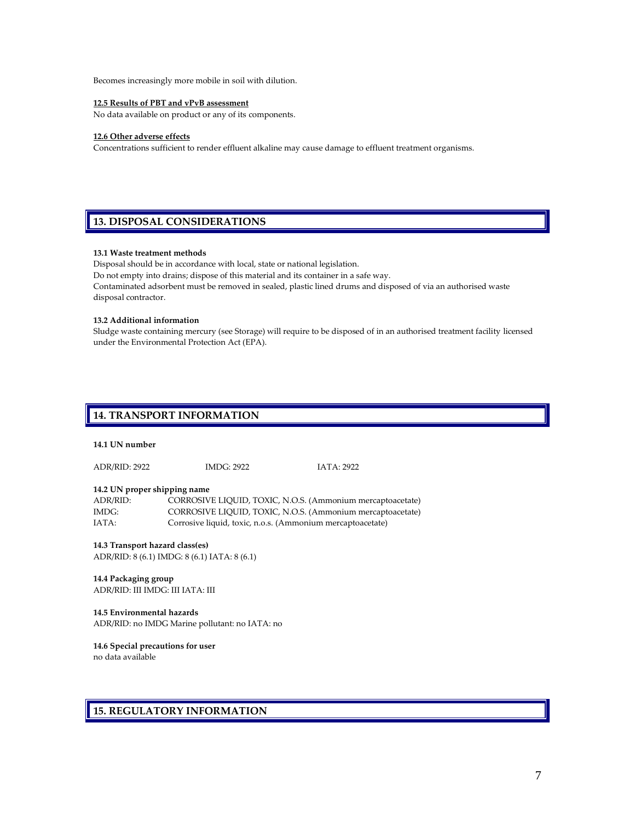Becomes increasingly more mobile in soil with dilution.

### **12.5 Results of PBT and vPvB assessment**

No data available on product or any of its components.

### **12.6 Other adverse effects**

Concentrations sufficient to render effluent alkaline may cause damage to effluent treatment organisms.

# **13. DISPOSAL CONSIDERATIONS**

### **13.1 Waste treatment methods**

Disposal should be in accordance with local, state or national legislation.

Do not empty into drains; dispose of this material and its container in a safe way.

Contaminated adsorbent must be removed in sealed, plastic lined drums and disposed of via an authorised waste disposal contractor.

### **13.2 Additional information**

Sludge waste containing mercury (see Storage) will require to be disposed of in an authorised treatment facility licensed under the Environmental Protection Act (EPA).

### **14. TRANSPORT INFORMATION**

### **14.1 UN number**

ADR/RID: 2922 IMDG: 2922 IATA: 2922

### **14.2 UN proper shipping name**

| ADR/RID: | CORROSIVE LIQUID, TOXIC, N.O.S. (Ammonium mercaptoacetate) |
|----------|------------------------------------------------------------|
| IMDG:    | CORROSIVE LIQUID, TOXIC, N.O.S. (Ammonium mercaptoacetate) |
| IATA:    | Corrosive liquid, toxic, n.o.s. (Ammonium mercaptoacetate) |

#### **14.3 Transport hazard class(es)**

ADR/RID: 8 (6.1) IMDG: 8 (6.1) IATA: 8 (6.1)

#### **14.4 Packaging group**

ADR/RID: III IMDG: III IATA: III

#### **14.5 Environmental hazards**

ADR/RID: no IMDG Marine pollutant: no IATA: no

### **14.6 Special precautions for user**

no data available

### **15. REGULATORY INFORMATION**